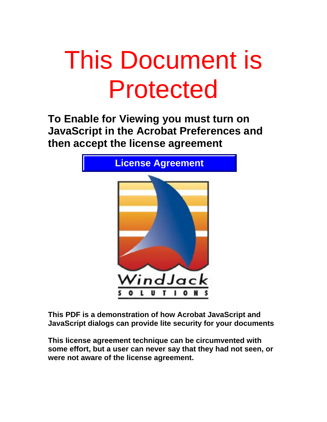## **Protected** This Document is

**To Enable for Viewing you must turn on JavaScript in the Acrobat Preferences and then accept the license agreement** 



**This PDF is a demonstration of how Acrobat JavaScript and JavaScript dialogs can provide lite security for your documents** 

 $30116$ were not aware of the license agreement. **This license agreement technique can be circumvented with some effort, but a user can never say that they had not seen, or**